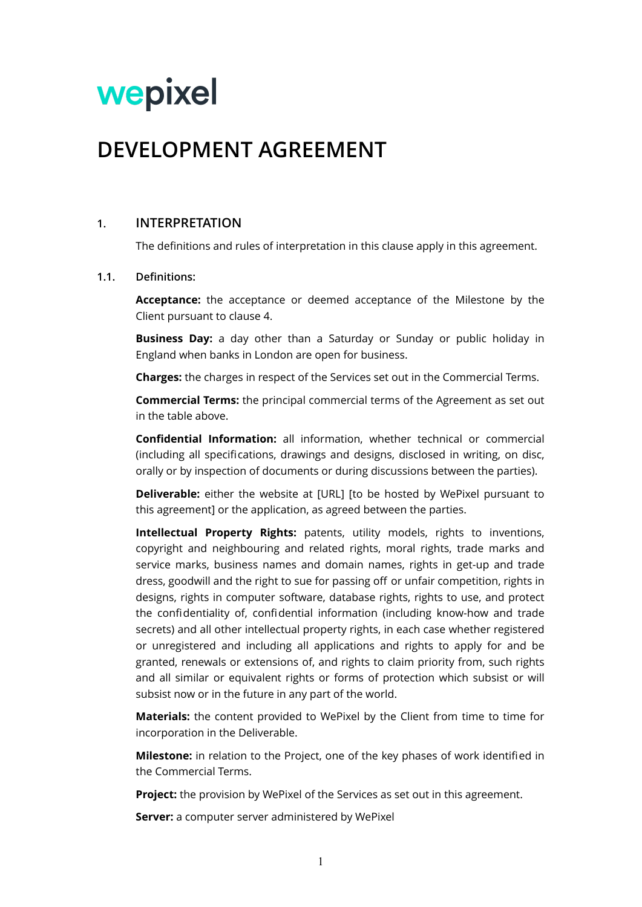# wepixel

# **DEVELOPMENT AGREEMENT**

# **1. INTERPRETATION**

The definitions and rules of interpretation in this clause apply in this agreement.

#### **1.1. Definitions:**

**Acceptance:** the acceptance or deemed acceptance of the Milestone by the Client pursuant to clause [4](#page-2-0).

**Business Day:** a day other than a Saturday or Sunday or public holiday in England when banks in London are open for business.

**Charges:** the charges in respect of the Services set out in the Commercial Terms.

**Commercial Terms:** the principal commercial terms of the Agreement as set out in the table above.

**Confidential Information:** all information, whether technical or commercial (including all specifications, drawings and designs, disclosed in writing, on disc, orally or by inspection of documents or during discussions between the parties).

**Deliverable:** either the website at [URL] [to be hosted by WePixel pursuant to this agreement] or the application, as agreed between the parties.

**Intellectual Property Rights:** patents, utility models, rights to inventions, copyright and neighbouring and related rights, moral rights, trade marks and service marks, business names and domain names, rights in get-up and trade dress, goodwill and the right to sue for passing off or unfair competition, rights in designs, rights in computer software, database rights, rights to use, and protect the confidentiality of, confidential information (including know-how and trade secrets) and all other intellectual property rights, in each case whether registered or unregistered and including all applications and rights to apply for and be granted, renewals or extensions of, and rights to claim priority from, such rights and all similar or equivalent rights or forms of protection which subsist or will subsist now or in the future in any part of the world.

**Materials:** the content provided to WePixel by the Client from time to time for incorporation in the Deliverable.

**Milestone:** in relation to the Project, one of the key phases of work identified in the Commercial Terms.

**Project:** the provision by WePixel of the Services as set out in this agreement.

**Server:** a computer server administered by WePixel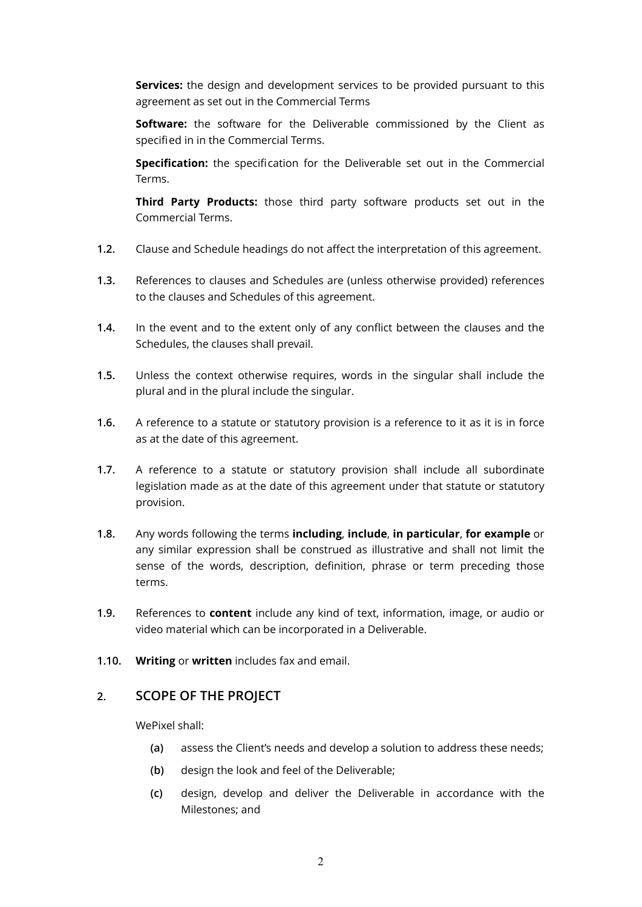**Services:** the design and development services to be provided pursuant to this agreement as set out in the Commercial Terms

**Software:** the software for the Deliverable commissioned by the Client as specified in in the Commercial Terms.

**Specification:** the specification for the Deliverable set out in the Commercial Terms.

**Third Party Products:** those third party software products set out in the Commercial Terms.

- **1.2.** Clause and Schedule headings do not affect the interpretation of this agreement.
- **1.3.** References to clauses and Schedules are (unless otherwise provided) references to the clauses and Schedules of this agreement.
- **1.4.** In the event and to the extent only of any conflict between the clauses and the Schedules, the clauses shall prevail.
- **1.5.** Unless the context otherwise requires, words in the singular shall include the plural and in the plural include the singular.
- **1.6.** A reference to a statute or statutory provision is a reference to it as it is in force as at the date of this agreement.
- **1.7.** A reference to a statute or statutory provision shall include all subordinate legislation made as at the date of this agreement under that statute or statutory provision.
- **1.8.** Any words following the terms **including**, **include**, **in particular**, **for example** or any similar expression shall be construed as illustrative and shall not limit the sense of the words, description, definition, phrase or term preceding those terms.
- **1.9.** References to **content** include any kind of text, information, image, or audio or video material which can be incorporated in a Deliverable.
- **1.10. Writing** or **written** includes fax and email.

# **2. SCOPE OF THE PROJECT**

WePixel shall:

- **(a)** assess the Client's needs and develop a solution to address these needs;
- **(b)** design the look and feel of the Deliverable;
- **(c)** design, develop and deliver the Deliverable in accordance with the Milestones; and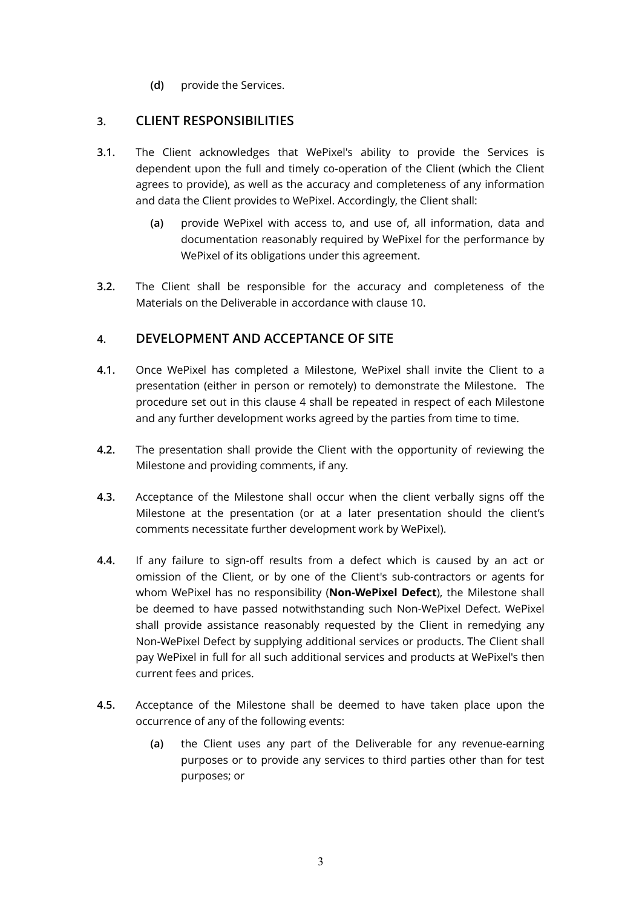**(d)** provide the Services.

# **3. CLIENT RESPONSIBILITIES**

- **3.1.** The Client acknowledges that WePixel's ability to provide the Services is dependent upon the full and timely co-operation of the Client (which the Client agrees to provide), as well as the accuracy and completeness of any information and data the Client provides to WePixel. Accordingly, the Client shall:
	- **(a)** provide WePixel with access to, and use of, all information, data and documentation reasonably required by WePixel for the performance by WePixel of its obligations under this agreement.
- **3.2.** The Client shall be responsible for the accuracy and completeness of the Materials on the Deliverable in accordance with clause [10](#page-5-0).

# <span id="page-2-0"></span>**4. DEVELOPMENT AND ACCEPTANCE OF SITE**

- **4.1.** Once WePixel has completed a Milestone, WePixel shall invite the Client to a presentation (either in person or remotely) to demonstrate the Milestone. The procedure set out in this clause [4](#page-2-0) shall be repeated in respect of each Milestone and any further development works agreed by the parties from time to time.
- **4.2.** The presentation shall provide the Client with the opportunity of reviewing the Milestone and providing comments, if any.
- **4.3.** Acceptance of the Milestone shall occur when the client verbally signs off the Milestone at the presentation (or at a later presentation should the client's comments necessitate further development work by WePixel).
- **4.4.** If any failure to sign-off results from a defect which is caused by an act or omission of the Client, or by one of the Client's sub-contractors or agents for whom WePixel has no responsibility (**Non-WePixel Defect**), the Milestone shall be deemed to have passed notwithstanding such Non-WePixel Defect. WePixel shall provide assistance reasonably requested by the Client in remedying any Non-WePixel Defect by supplying additional services or products. The Client shall pay WePixel in full for all such additional services and products at WePixel's then current fees and prices.
- **4.5.** Acceptance of the Milestone shall be deemed to have taken place upon the occurrence of any of the following events:
	- **(a)** the Client uses any part of the Deliverable for any revenue-earning purposes or to provide any services to third parties other than for test purposes; or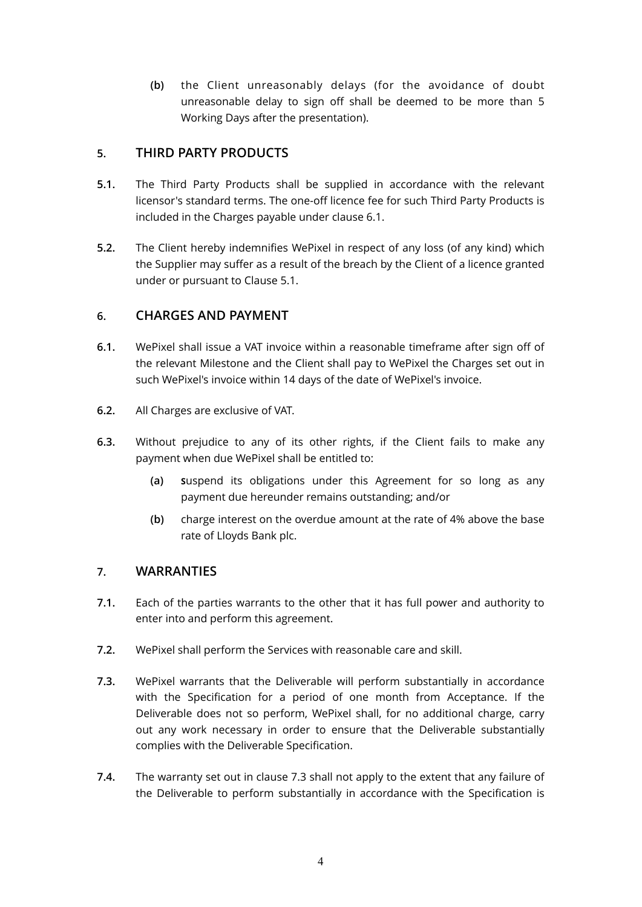**(b)** the Client unreasonably delays (for the avoidance of doubt unreasonable delay to sign off shall be deemed to be more than 5 Working Days after the presentation).

# **5. THIRD PARTY PRODUCTS**

- **5.1.** The Third Party Products shall be supplied in accordance with the relevant licensor's standard terms. The one-off licence fee for such Third Party Products is included in the Charges payable under clause [6.1](#page-3-0).
- **5.2.** The Client hereby indemnifies WePixel in respect of any loss (of any kind) which the Supplier may suffer as a result of the breach by the Client of a licence granted under or pursuant to Clause 5.1.

# **6. CHARGES AND PAYMENT**

- <span id="page-3-0"></span>**6.1.** WePixel shall issue a VAT invoice within a reasonable timeframe after sign off of the relevant Milestone and the Client shall pay to WePixel the Charges set out in such WePixel's invoice within 14 days of the date of WePixel's invoice.
- **6.2.** All Charges are exclusive of VAT.
- <span id="page-3-2"></span>**6.3.** Without prejudice to any of its other rights, if the Client fails to make any payment when due WePixel shall be entitled to:
	- **(a) S**uspend its obligations under this Agreement for so long as any payment due hereunder remains outstanding; and/or
	- **(b)** charge interest on the overdue amount at the rate of 4% above the base rate of Lloyds Bank plc.

# **7. WARRANTIES**

- **7.1.** Each of the parties warrants to the other that it has full power and authority to enter into and perform this agreement.
- **7.2.** WePixel shall perform the Services with reasonable care and skill.
- <span id="page-3-1"></span>**7.3.** WePixel warrants that the Deliverable will perform substantially in accordance with the Specification for a period of one month from Acceptance. If the Deliverable does not so perform, WePixel shall, for no additional charge, carry out any work necessary in order to ensure that the Deliverable substantially complies with the Deliverable Specification.
- **7.4.** The warranty set out in clause [7.3](#page-3-1) shall not apply to the extent that any failure of the Deliverable to perform substantially in accordance with the Specification is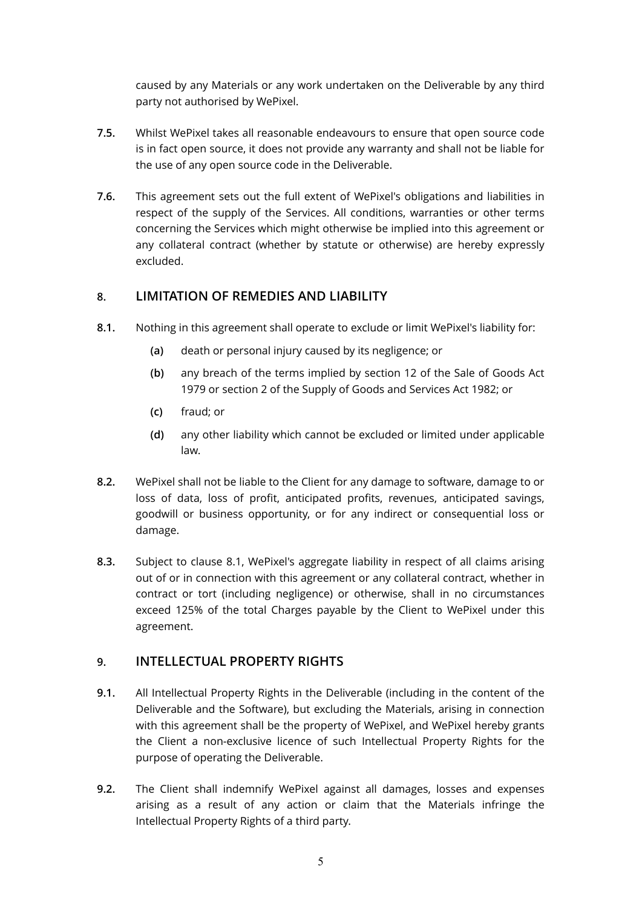caused by any Materials or any work undertaken on the Deliverable by any third party not authorised by WePixel.

- **7.5.** Whilst WePixel takes all reasonable endeavours to ensure that open source code is in fact open source, it does not provide any warranty and shall not be liable for the use of any open source code in the Deliverable.
- **7.6.** This agreement sets out the full extent of WePixel's obligations and liabilities in respect of the supply of the Services. All conditions, warranties or other terms concerning the Services which might otherwise be implied into this agreement or any collateral contract (whether by statute or otherwise) are hereby expressly excluded.

# **8. LIMITATION OF REMEDIES AND LIABILITY**

- <span id="page-4-0"></span>**8.1.** Nothing in this agreement shall operate to exclude or limit WePixel's liability for:
	- **(a)** death or personal injury caused by its negligence; or
	- **(b)** any breach of the terms implied by section 12 of the Sale of Goods Act 1979 or section 2 of the Supply of Goods and Services Act 1982; or
	- **(c)** fraud; or
	- **(d)** any other liability which cannot be excluded or limited under applicable law.
- **8.2.** WePixel shall not be liable to the Client for any damage to software, damage to or loss of data, loss of profit, anticipated profits, revenues, anticipated savings, goodwill or business opportunity, or for any indirect or consequential loss or damage.
- **8.3.** Subject to clause [8.1](#page-4-0), WePixel's aggregate liability in respect of all claims arising out of or in connection with this agreement or any collateral contract, whether in contract or tort (including negligence) or otherwise, shall in no circumstances exceed 125% of the total Charges payable by the Client to WePixel under this agreement.

# **9. INTELLECTUAL PROPERTY RIGHTS**

- **9.1.** All Intellectual Property Rights in the Deliverable (including in the content of the Deliverable and the Software), but excluding the Materials, arising in connection with this agreement shall be the property of WePixel, and WePixel hereby grants the Client a non-exclusive licence of such Intellectual Property Rights for the purpose of operating the Deliverable.
- <span id="page-4-1"></span>**9.2.** The Client shall indemnify WePixel against all damages, losses and expenses arising as a result of any action or claim that the Materials infringe the Intellectual Property Rights of a third party.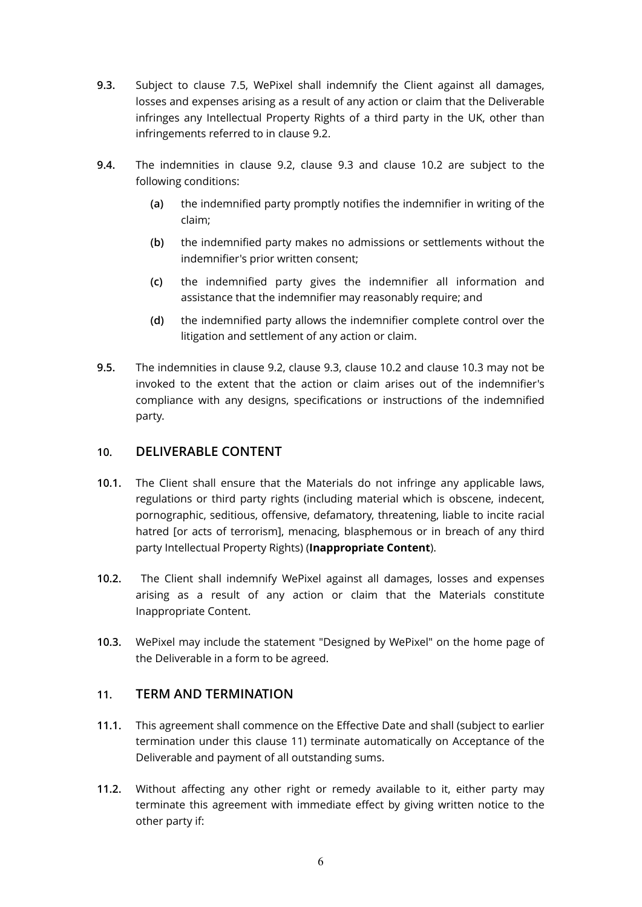- <span id="page-5-1"></span>**9.3.** Subject to clause 7.5, WePixel shall indemnify the Client against all damages, losses and expenses arising as a result of any action or claim that the Deliverable infringes any Intellectual Property Rights of a third party in the UK, other than infringements referred to in clause [9.2](#page-4-1).
- **9.4.** The indemnities in clause [9.2](#page-4-1), clause [9.3](#page-5-1) and clause [10.2](#page-5-2) are subject to the following conditions:
	- **(a)** the indemnified party promptly notifies the indemnifier in writing of the claim;
	- **(b)** the indemnified party makes no admissions or settlements without the indemnifier's prior written consent;
	- **(c)** the indemnified party gives the indemnifier all information and assistance that the indemnifier may reasonably require; and
	- **(d)** the indemnified party allows the indemnifier complete control over the litigation and settlement of any action or claim.
- **9.5.** The indemnities in clause [9.2](#page-4-1), clause [9.3](#page-5-1), clause [10.2](#page-5-2) and clause [10.3](#page-5-3) may not be invoked to the extent that the action or claim arises out of the indemnifier's compliance with any designs, specifications or instructions of the indemnified party.

### <span id="page-5-0"></span>**10. DELIVERABLE CONTENT**

- **10.1.** The Client shall ensure that the Materials do not infringe any applicable laws, regulations or third party rights (including material which is obscene, indecent, pornographic, seditious, offensive, defamatory, threatening, liable to incite racial hatred [or acts of terrorism], menacing, blasphemous or in breach of any third party Intellectual Property Rights) (**Inappropriate Content**).
- <span id="page-5-2"></span>**10.2.** The Client shall indemnify WePixel against all damages, losses and expenses arising as a result of any action or claim that the Materials constitute Inappropriate Content.
- <span id="page-5-3"></span>**10.3.** WePixel may include the statement "Designed by WePixel" on the home page of the Deliverable in a form to be agreed.

# <span id="page-5-4"></span>**11. TERM AND TERMINATION**

- **11.1.** This agreement shall commence on the Effective Date and shall (subject to earlier termination under this clause [11\)](#page-5-4) terminate automatically on Acceptance of the Deliverable and payment of all outstanding sums.
- <span id="page-5-5"></span>**11.2.** Without affecting any other right or remedy available to it, either party may terminate this agreement with immediate effect by giving written notice to the other party if: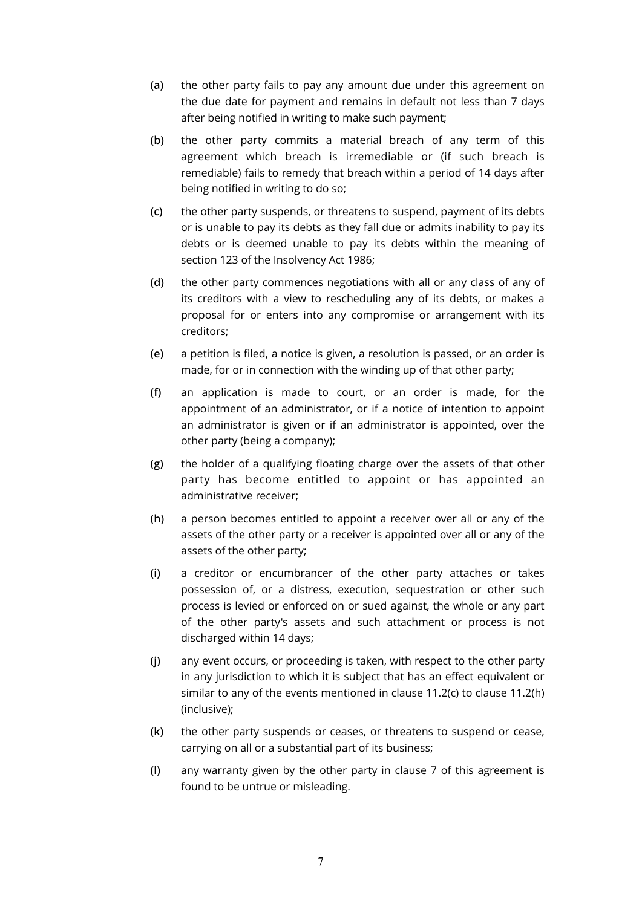- **(a)** the other party fails to pay any amount due under this agreement on the due date for payment and remains in default not less than 7 days after being notified in writing to make such payment;
- **(b)** the other party commits a material breach of any term of this agreement which breach is irremediable or (if such breach is remediable) fails to remedy that breach within a period of 14 days after being notified in writing to do so;
- <span id="page-6-0"></span>**(c)** the other party suspends, or threatens to suspend, payment of its debts or is unable to pay its debts as they fall due or admits inability to pay its debts or is deemed unable to pay its debts within the meaning of section 123 of the Insolvency Act 1986;
- **(d)** the other party commences negotiations with all or any class of any of its creditors with a view to rescheduling any of its debts, or makes a proposal for or enters into any compromise or arrangement with its creditors;
- **(e)** a petition is filed, a notice is given, a resolution is passed, or an order is made, for or in connection with the winding up of that other party;
- **(f)** an application is made to court, or an order is made, for the appointment of an administrator, or if a notice of intention to appoint an administrator is given or if an administrator is appointed, over the other party (being a company);
- **(g)** the holder of a qualifying floating charge over the assets of that other party has become entitled to appoint or has appointed an administrative receiver;
- <span id="page-6-1"></span>**(h)** a person becomes entitled to appoint a receiver over all or any of the assets of the other party or a receiver is appointed over all or any of the assets of the other party;
- **(i)** a creditor or encumbrancer of the other party attaches or takes possession of, or a distress, execution, sequestration or other such process is levied or enforced on or sued against, the whole or any part of the other party's assets and such attachment or process is not discharged within 14 days;
- **(j)** any event occurs, or proceeding is taken, with respect to the other party in any jurisdiction to which it is subject that has an effect equivalent or similar to any of the events mentioned in clause [11.2\(c\)](#page-6-0) to clause [11.2\(h\)](#page-6-1) (inclusive);
- **(k)** the other party suspends or ceases, or threatens to suspend or cease, carrying on all or a substantial part of its business;
- **(l)** any warranty given by the other party in clause [7](#page-3-2) of this agreement is found to be untrue or misleading.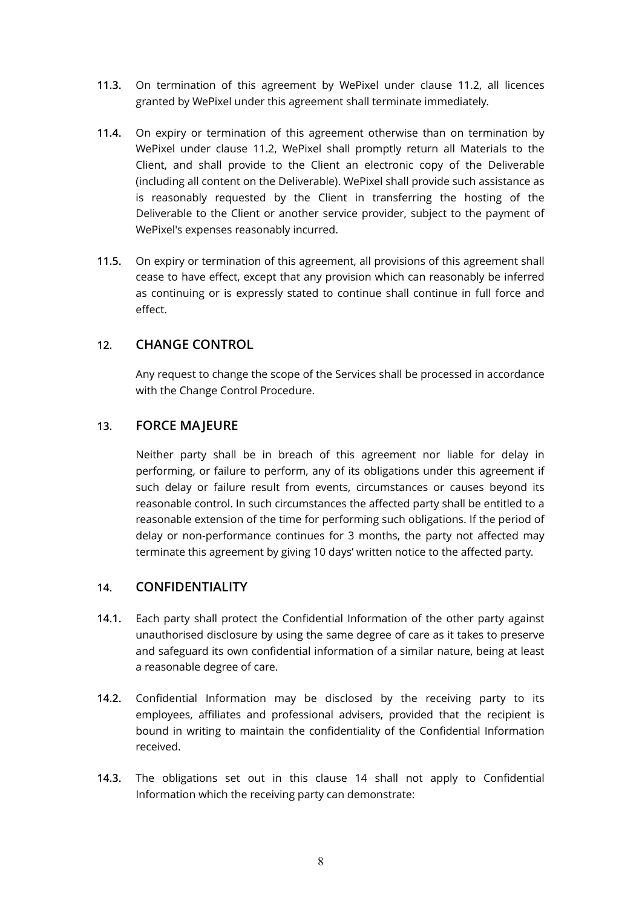- **11.3.** On termination of this agreement by WePixel under clause [11.2,](#page-5-5) all licences granted by WePixel under this agreement shall terminate immediately.
- **11.4.** On expiry or termination of this agreement otherwise than on termination by WePixel under clause [11.2](#page-5-5), WePixel shall promptly return all Materials to the Client, and shall provide to the Client an electronic copy of the Deliverable (including all content on the Deliverable). WePixel shall provide such assistance as is reasonably requested by the Client in transferring the hosting of the Deliverable to the Client or another service provider, subject to the payment of WePixel's expenses reasonably incurred.
- **11.5.** On expiry or termination of this agreement, all provisions of this agreement shall cease to have effect, except that any provision which can reasonably be inferred as continuing or is expressly stated to continue shall continue in full force and effect.

#### **12. CHANGE CONTROL**

Any request to change the scope of the Services shall be processed in accordance with the Change Control Procedure.

#### **13. FORCE MAJEURE**

Neither party shall be in breach of this agreement nor liable for delay in performing, or failure to perform, any of its obligations under this agreement if such delay or failure result from events, circumstances or causes beyond its reasonable control. In such circumstances the affected party shall be entitled to a reasonable extension of the time for performing such obligations. If the period of delay or non-performance continues for 3 months, the party not affected may terminate this agreement by giving 10 days' written notice to the affected party.

# <span id="page-7-0"></span>**14. CONFIDENTIALITY**

- **14.1.** Each party shall protect the Confidential Information of the other party against unauthorised disclosure by using the same degree of care as it takes to preserve and safeguard its own confidential information of a similar nature, being at least a reasonable degree of care.
- **14.2.** Confidential Information may be disclosed by the receiving party to its employees, affiliates and professional advisers, provided that the recipient is bound in writing to maintain the confidentiality of the Confidential Information received.
- **14.3.** The obligations set out in this clause [14](#page-7-0) shall not apply to Confidential Information which the receiving party can demonstrate: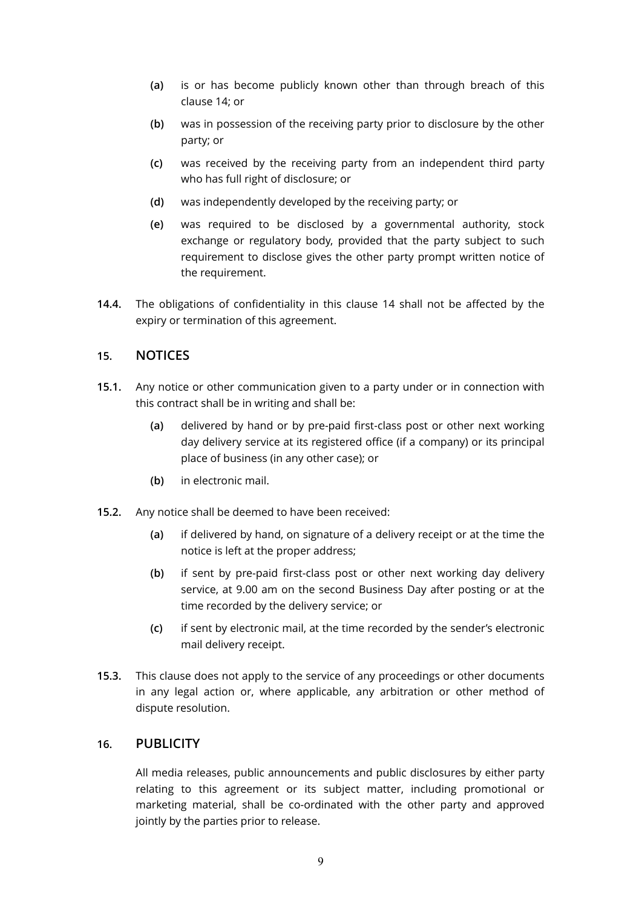- **(a)** is or has become publicly known other than through breach of this clause [14](#page-7-0); or
- **(b)** was in possession of the receiving party prior to disclosure by the other party; or
- **(c)** was received by the receiving party from an independent third party who has full right of disclosure; or
- **(d)** was independently developed by the receiving party; or
- **(e)** was required to be disclosed by a governmental authority, stock exchange or regulatory body, provided that the party subject to such requirement to disclose gives the other party prompt written notice of the requirement.
- **14.4.** The obligations of confidentiality in this clause [14](#page-7-0) shall not be affected by the expiry or termination of this agreement.

#### **15. NOTICES**

- **15.1.** Any notice or other communication given to a party under or in connection with this contract shall be in writing and shall be:
	- **(a)** delivered by hand or by pre-paid first-class post or other next working day delivery service at its registered office (if a company) or its principal place of business (in any other case); or
	- **(b)** in electronic mail.
- **15.2.** Any notice shall be deemed to have been received:
	- **(a)** if delivered by hand, on signature of a delivery receipt or at the time the notice is left at the proper address;
	- **(b)** if sent by pre-paid first-class post or other next working day delivery service, at 9.00 am on the second Business Day after posting or at the time recorded by the delivery service; or
	- **(c)** if sent by electronic mail, at the time recorded by the sender's electronic mail delivery receipt.
- **15.3.** This clause does not apply to the service of any proceedings or other documents in any legal action or, where applicable, any arbitration or other method of dispute resolution.

#### **16. PUBLICITY**

All media releases, public announcements and public disclosures by either party relating to this agreement or its subject matter, including promotional or marketing material, shall be co-ordinated with the other party and approved jointly by the parties prior to release.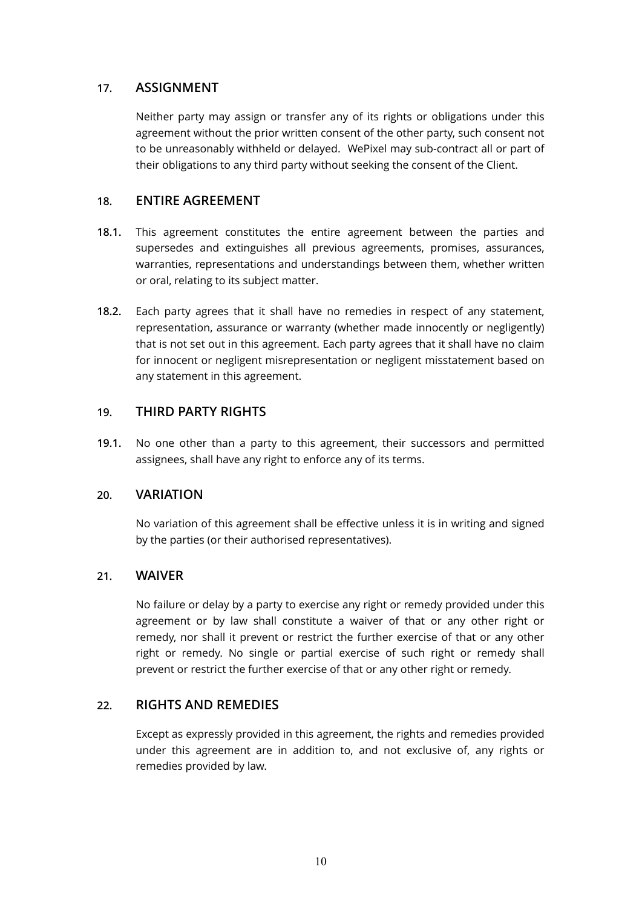# **17. ASSIGNMENT**

Neither party may assign or transfer any of its rights or obligations under this agreement without the prior written consent of the other party, such consent not to be unreasonably withheld or delayed. WePixel may sub-contract all or part of their obligations to any third party without seeking the consent of the Client.

# **18. ENTIRE AGREEMENT**

- **18.1.** This agreement constitutes the entire agreement between the parties and supersedes and extinguishes all previous agreements, promises, assurances, warranties, representations and understandings between them, whether written or oral, relating to its subject matter.
- **18.2.** Each party agrees that it shall have no remedies in respect of any statement, representation, assurance or warranty (whether made innocently or negligently) that is not set out in this agreement. Each party agrees that it shall have no claim for innocent or negligent misrepresentation or negligent misstatement based on any statement in this agreement.

#### **19. THIRD PARTY RIGHTS**

**19.1.** No one other than a party to this agreement, their successors and permitted assignees, shall have any right to enforce any of its terms.

#### **20. VARIATION**

No variation of this agreement shall be effective unless it is in writing and signed by the parties (or their authorised representatives).

#### **21. WAIVER**

No failure or delay by a party to exercise any right or remedy provided under this agreement or by law shall constitute a waiver of that or any other right or remedy, nor shall it prevent or restrict the further exercise of that or any other right or remedy. No single or partial exercise of such right or remedy shall prevent or restrict the further exercise of that or any other right or remedy.

#### **22. RIGHTS AND REMEDIES**

Except as expressly provided in this agreement, the rights and remedies provided under this agreement are in addition to, and not exclusive of, any rights or remedies provided by law.